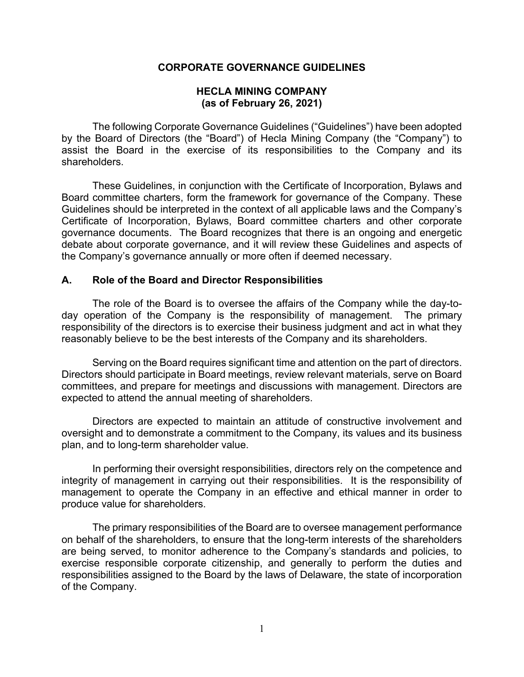#### **CORPORATE GOVERNANCE GUIDELINES**

#### **HECLA MINING COMPANY (as of February 26, 2021)**

 The following Corporate Governance Guidelines ("Guidelines") have been adopted by the Board of Directors (the "Board") of Hecla Mining Company (the "Company") to assist the Board in the exercise of its responsibilities to the Company and its shareholders.

These Guidelines, in conjunction with the Certificate of Incorporation, Bylaws and Board committee charters, form the framework for governance of the Company. These Guidelines should be interpreted in the context of all applicable laws and the Company's Certificate of Incorporation, Bylaws, Board committee charters and other corporate governance documents. The Board recognizes that there is an ongoing and energetic debate about corporate governance, and it will review these Guidelines and aspects of the Company's governance annually or more often if deemed necessary.

#### **A. Role of the Board and Director Responsibilities**

The role of the Board is to oversee the affairs of the Company while the day-today operation of the Company is the responsibility of management. The primary responsibility of the directors is to exercise their business judgment and act in what they reasonably believe to be the best interests of the Company and its shareholders.

 Serving on the Board requires significant time and attention on the part of directors. Directors should participate in Board meetings, review relevant materials, serve on Board committees, and prepare for meetings and discussions with management. Directors are expected to attend the annual meeting of shareholders.

 Directors are expected to maintain an attitude of constructive involvement and oversight and to demonstrate a commitment to the Company, its values and its business plan, and to long-term shareholder value.

 In performing their oversight responsibilities, directors rely on the competence and integrity of management in carrying out their responsibilities. It is the responsibility of management to operate the Company in an effective and ethical manner in order to produce value for shareholders.

The primary responsibilities of the Board are to oversee management performance on behalf of the shareholders, to ensure that the long-term interests of the shareholders are being served, to monitor adherence to the Company's standards and policies, to exercise responsible corporate citizenship, and generally to perform the duties and responsibilities assigned to the Board by the laws of Delaware, the state of incorporation of the Company.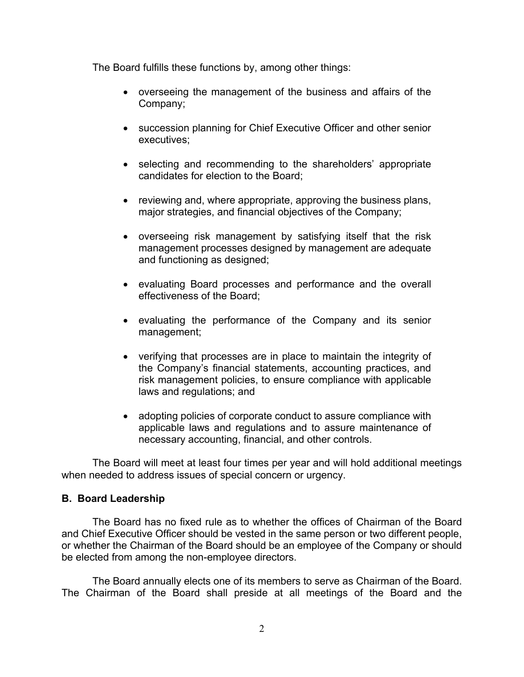The Board fulfills these functions by, among other things:

- overseeing the management of the business and affairs of the Company;
- succession planning for Chief Executive Officer and other senior executives;
- selecting and recommending to the shareholders' appropriate candidates for election to the Board;
- reviewing and, where appropriate, approving the business plans, major strategies, and financial objectives of the Company;
- overseeing risk management by satisfying itself that the risk management processes designed by management are adequate and functioning as designed;
- evaluating Board processes and performance and the overall effectiveness of the Board;
- evaluating the performance of the Company and its senior management;
- verifying that processes are in place to maintain the integrity of the Company's financial statements, accounting practices, and risk management policies, to ensure compliance with applicable laws and regulations; and
- adopting policies of corporate conduct to assure compliance with applicable laws and regulations and to assure maintenance of necessary accounting, financial, and other controls.

The Board will meet at least four times per year and will hold additional meetings when needed to address issues of special concern or urgency.

### **B. Board Leadership**

 The Board has no fixed rule as to whether the offices of Chairman of the Board and Chief Executive Officer should be vested in the same person or two different people, or whether the Chairman of the Board should be an employee of the Company or should be elected from among the non-employee directors.

 The Board annually elects one of its members to serve as Chairman of the Board. The Chairman of the Board shall preside at all meetings of the Board and the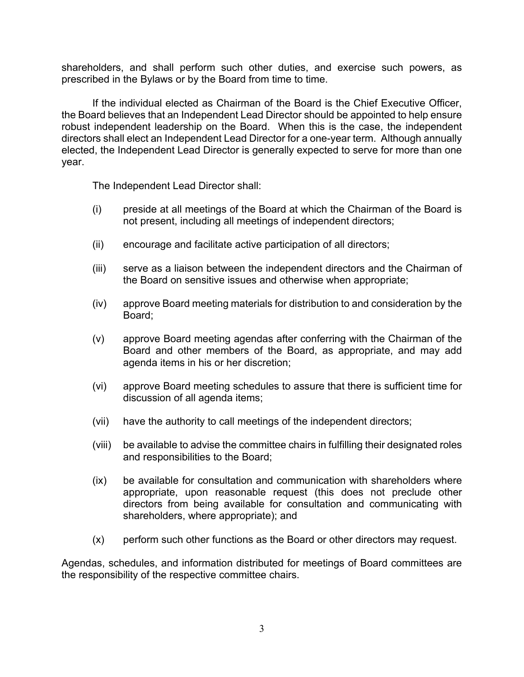shareholders, and shall perform such other duties, and exercise such powers, as prescribed in the Bylaws or by the Board from time to time.

 If the individual elected as Chairman of the Board is the Chief Executive Officer, the Board believes that an Independent Lead Director should be appointed to help ensure robust independent leadership on the Board. When this is the case, the independent directors shall elect an Independent Lead Director for a one-year term. Although annually elected, the Independent Lead Director is generally expected to serve for more than one year.

The Independent Lead Director shall:

- (i) preside at all meetings of the Board at which the Chairman of the Board is not present, including all meetings of independent directors;
- (ii) encourage and facilitate active participation of all directors;
- (iii) serve as a liaison between the independent directors and the Chairman of the Board on sensitive issues and otherwise when appropriate;
- (iv) approve Board meeting materials for distribution to and consideration by the Board;
- (v) approve Board meeting agendas after conferring with the Chairman of the Board and other members of the Board, as appropriate, and may add agenda items in his or her discretion;
- (vi) approve Board meeting schedules to assure that there is sufficient time for discussion of all agenda items;
- (vii) have the authority to call meetings of the independent directors;
- (viii) be available to advise the committee chairs in fulfilling their designated roles and responsibilities to the Board;
- (ix) be available for consultation and communication with shareholders where appropriate, upon reasonable request (this does not preclude other directors from being available for consultation and communicating with shareholders, where appropriate); and
- (x) perform such other functions as the Board or other directors may request.

Agendas, schedules, and information distributed for meetings of Board committees are the responsibility of the respective committee chairs.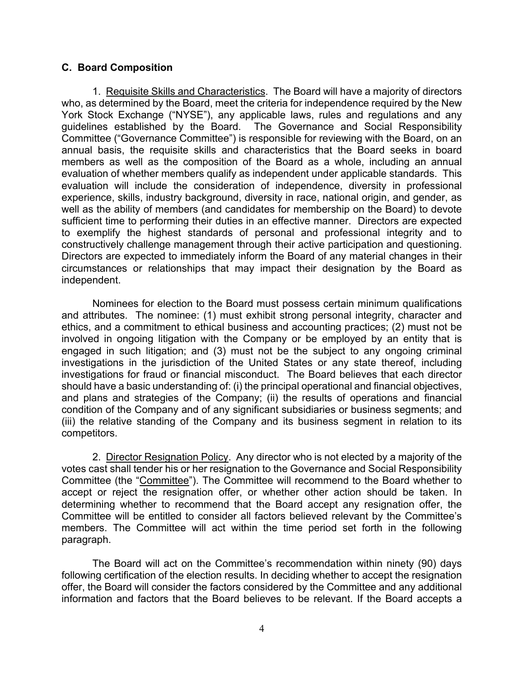### **C. Board Composition**

1. Requisite Skills and Characteristics. The Board will have a majority of directors who, as determined by the Board, meet the criteria for independence required by the New York Stock Exchange ("NYSE"), any applicable laws, rules and regulations and any guidelines established by the Board. The Governance and Social Responsibility Committee ("Governance Committee") is responsible for reviewing with the Board, on an annual basis, the requisite skills and characteristics that the Board seeks in board members as well as the composition of the Board as a whole, including an annual evaluation of whether members qualify as independent under applicable standards. This evaluation will include the consideration of independence, diversity in professional experience, skills, industry background, diversity in race, national origin, and gender, as well as the ability of members (and candidates for membership on the Board) to devote sufficient time to performing their duties in an effective manner. Directors are expected to exemplify the highest standards of personal and professional integrity and to constructively challenge management through their active participation and questioning. Directors are expected to immediately inform the Board of any material changes in their circumstances or relationships that may impact their designation by the Board as independent.

 Nominees for election to the Board must possess certain minimum qualifications and attributes. The nominee: (1) must exhibit strong personal integrity, character and ethics, and a commitment to ethical business and accounting practices; (2) must not be involved in ongoing litigation with the Company or be employed by an entity that is engaged in such litigation; and (3) must not be the subject to any ongoing criminal investigations in the jurisdiction of the United States or any state thereof, including investigations for fraud or financial misconduct. The Board believes that each director should have a basic understanding of: (i) the principal operational and financial objectives, and plans and strategies of the Company; (ii) the results of operations and financial condition of the Company and of any significant subsidiaries or business segments; and (iii) the relative standing of the Company and its business segment in relation to its competitors.

 2. Director Resignation Policy. Any director who is not elected by a majority of the votes cast shall tender his or her resignation to the Governance and Social Responsibility Committee (the "Committee"). The Committee will recommend to the Board whether to accept or reject the resignation offer, or whether other action should be taken. In determining whether to recommend that the Board accept any resignation offer, the Committee will be entitled to consider all factors believed relevant by the Committee's members. The Committee will act within the time period set forth in the following paragraph.

The Board will act on the Committee's recommendation within ninety (90) days following certification of the election results. In deciding whether to accept the resignation offer, the Board will consider the factors considered by the Committee and any additional information and factors that the Board believes to be relevant. If the Board accepts a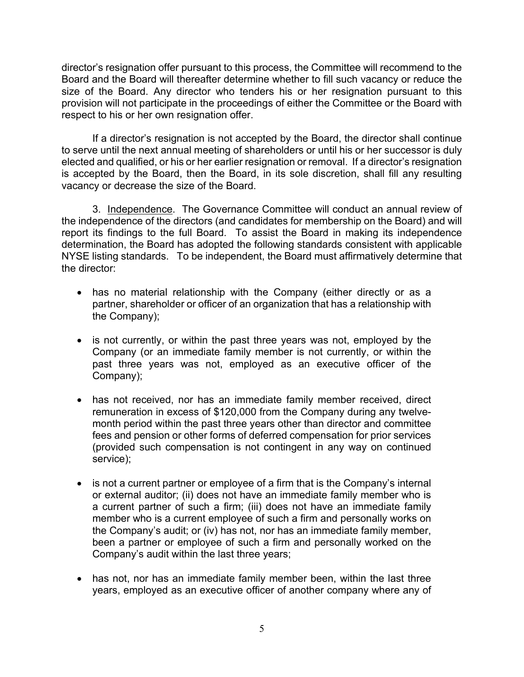director's resignation offer pursuant to this process, the Committee will recommend to the Board and the Board will thereafter determine whether to fill such vacancy or reduce the size of the Board. Any director who tenders his or her resignation pursuant to this provision will not participate in the proceedings of either the Committee or the Board with respect to his or her own resignation offer.

If a director's resignation is not accepted by the Board, the director shall continue to serve until the next annual meeting of shareholders or until his or her successor is duly elected and qualified, or his or her earlier resignation or removal. If a director's resignation is accepted by the Board, then the Board, in its sole discretion, shall fill any resulting vacancy or decrease the size of the Board.

 3. Independence. The Governance Committee will conduct an annual review of the independence of the directors (and candidates for membership on the Board) and will report its findings to the full Board. To assist the Board in making its independence determination, the Board has adopted the following standards consistent with applicable NYSE listing standards. To be independent, the Board must affirmatively determine that the director:

- has no material relationship with the Company (either directly or as a partner, shareholder or officer of an organization that has a relationship with the Company);
- is not currently, or within the past three years was not, employed by the Company (or an immediate family member is not currently, or within the past three years was not, employed as an executive officer of the Company);
- has not received, nor has an immediate family member received, direct remuneration in excess of \$120,000 from the Company during any twelvemonth period within the past three years other than director and committee fees and pension or other forms of deferred compensation for prior services (provided such compensation is not contingent in any way on continued service);
- is not a current partner or employee of a firm that is the Company's internal or external auditor; (ii) does not have an immediate family member who is a current partner of such a firm; (iii) does not have an immediate family member who is a current employee of such a firm and personally works on the Company's audit; or (iv) has not, nor has an immediate family member, been a partner or employee of such a firm and personally worked on the Company's audit within the last three years;
- has not, nor has an immediate family member been, within the last three years, employed as an executive officer of another company where any of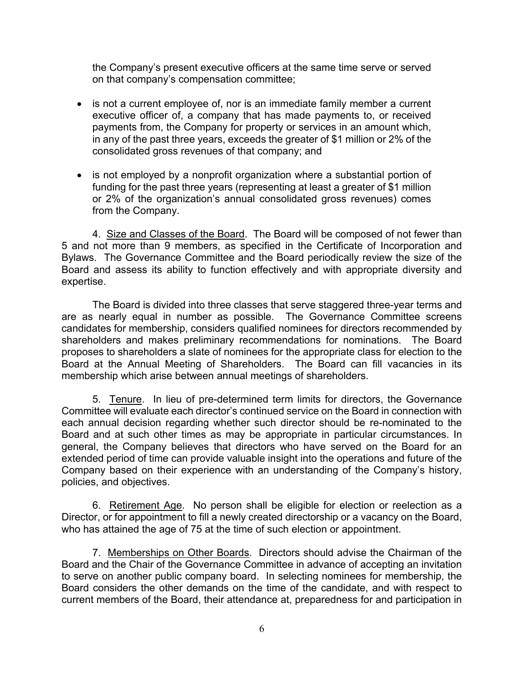the Company's present executive officers at the same time serve or served on that company's compensation committee;

- is not a current employee of, nor is an immediate family member a current executive officer of, a company that has made payments to, or received payments from, the Company for property or services in an amount which, in any of the past three years, exceeds the greater of \$1 million or 2% of the consolidated gross revenues of that company; and
- is not employed by a nonprofit organization where a substantial portion of funding for the past three years (representing at least a greater of \$1 million or 2% of the organization's annual consolidated gross revenues) comes from the Company.

4. Size and Classes of the Board. The Board will be composed of not fewer than 5 and not more than 9 members, as specified in the Certificate of Incorporation and Bylaws. The Governance Committee and the Board periodically review the size of the Board and assess its ability to function effectively and with appropriate diversity and expertise.

 The Board is divided into three classes that serve staggered three-year terms and are as nearly equal in number as possible. The Governance Committee screens candidates for membership, considers qualified nominees for directors recommended by shareholders and makes preliminary recommendations for nominations. The Board proposes to shareholders a slate of nominees for the appropriate class for election to the Board at the Annual Meeting of Shareholders. The Board can fill vacancies in its membership which arise between annual meetings of shareholders.

 5. Tenure. In lieu of pre-determined term limits for directors, the Governance Committee will evaluate each director's continued service on the Board in connection with each annual decision regarding whether such director should be re-nominated to the Board and at such other times as may be appropriate in particular circumstances. In general, the Company believes that directors who have served on the Board for an extended period of time can provide valuable insight into the operations and future of the Company based on their experience with an understanding of the Company's history, policies, and objectives.

 6. Retirement Age. No person shall be eligible for election or reelection as a Director, or for appointment to fill a newly created directorship or a vacancy on the Board, who has attained the age of 75 at the time of such election or appointment.

 7. Memberships on Other Boards. Directors should advise the Chairman of the Board and the Chair of the Governance Committee in advance of accepting an invitation to serve on another public company board. In selecting nominees for membership, the Board considers the other demands on the time of the candidate, and with respect to current members of the Board, their attendance at, preparedness for and participation in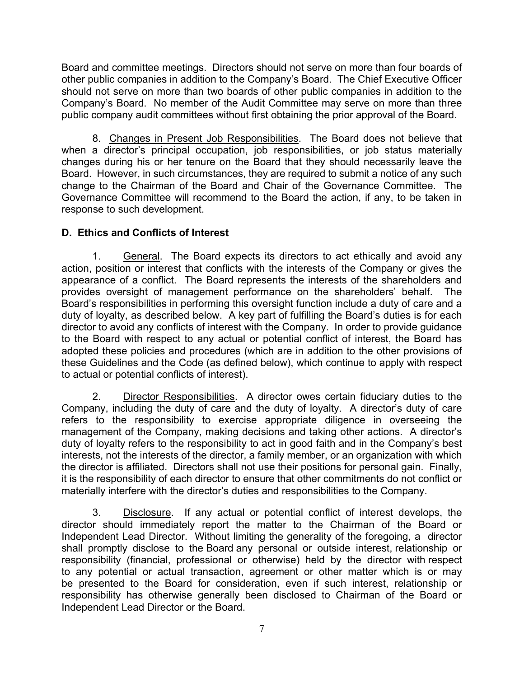Board and committee meetings. Directors should not serve on more than four boards of other public companies in addition to the Company's Board. The Chief Executive Officer should not serve on more than two boards of other public companies in addition to the Company's Board. No member of the Audit Committee may serve on more than three public company audit committees without first obtaining the prior approval of the Board.

 8. Changes in Present Job Responsibilities. The Board does not believe that when a director's principal occupation, job responsibilities, or job status materially changes during his or her tenure on the Board that they should necessarily leave the Board. However, in such circumstances, they are required to submit a notice of any such change to the Chairman of the Board and Chair of the Governance Committee. The Governance Committee will recommend to the Board the action, if any, to be taken in response to such development.

# **D. Ethics and Conflicts of Interest**

1. General. The Board expects its directors to act ethically and avoid any action, position or interest that conflicts with the interests of the Company or gives the appearance of a conflict. The Board represents the interests of the shareholders and provides oversight of management performance on the shareholders' behalf. The Board's responsibilities in performing this oversight function include a duty of care and a duty of loyalty, as described below. A key part of fulfilling the Board's duties is for each director to avoid any conflicts of interest with the Company. In order to provide guidance to the Board with respect to any actual or potential conflict of interest, the Board has adopted these policies and procedures (which are in addition to the other provisions of these Guidelines and the Code (as defined below), which continue to apply with respect to actual or potential conflicts of interest).

2. Director Responsibilities. A director owes certain fiduciary duties to the Company, including the duty of care and the duty of loyalty. A director's duty of care refers to the responsibility to exercise appropriate diligence in overseeing the management of the Company, making decisions and taking other actions. A director's duty of loyalty refers to the responsibility to act in good faith and in the Company's best interests, not the interests of the director, a family member, or an organization with which the director is affiliated. Directors shall not use their positions for personal gain. Finally, it is the responsibility of each director to ensure that other commitments do not conflict or materially interfere with the director's duties and responsibilities to the Company.

3. Disclosure. If any actual or potential conflict of interest develops, the director should immediately report the matter to the Chairman of the Board or Independent Lead Director. Without limiting the generality of the foregoing, a director shall promptly disclose to the Board any personal or outside interest, relationship or responsibility (financial, professional or otherwise) held by the director with respect to any potential or actual transaction, agreement or other matter which is or may be presented to the Board for consideration, even if such interest, relationship or responsibility has otherwise generally been disclosed to Chairman of the Board or Independent Lead Director or the Board.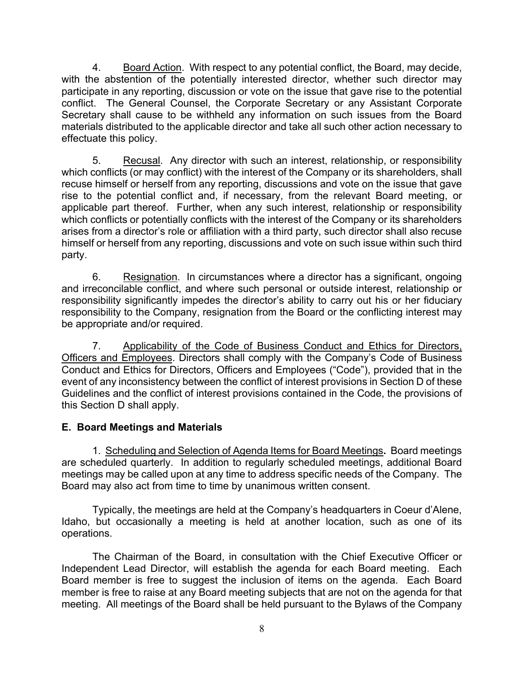4. Board Action. With respect to any potential conflict, the Board, may decide, with the abstention of the potentially interested director, whether such director may participate in any reporting, discussion or vote on the issue that gave rise to the potential conflict. The General Counsel, the Corporate Secretary or any Assistant Corporate Secretary shall cause to be withheld any information on such issues from the Board materials distributed to the applicable director and take all such other action necessary to effectuate this policy.

5. Recusal. Any director with such an interest, relationship, or responsibility which conflicts (or may conflict) with the interest of the Company or its shareholders, shall recuse himself or herself from any reporting, discussions and vote on the issue that gave rise to the potential conflict and, if necessary, from the relevant Board meeting, or applicable part thereof. Further, when any such interest, relationship or responsibility which conflicts or potentially conflicts with the interest of the Company or its shareholders arises from a director's role or affiliation with a third party, such director shall also recuse himself or herself from any reporting, discussions and vote on such issue within such third party.

6. Resignation. In circumstances where a director has a significant, ongoing and irreconcilable conflict, and where such personal or outside interest, relationship or responsibility significantly impedes the director's ability to carry out his or her fiduciary responsibility to the Company, resignation from the Board or the conflicting interest may be appropriate and/or required.

7. Applicability of the Code of Business Conduct and Ethics for Directors, Officers and Employees. Directors shall comply with the Company's Code of Business Conduct and Ethics for Directors, Officers and Employees ("Code"), provided that in the event of any inconsistency between the conflict of interest provisions in Section D of these Guidelines and the conflict of interest provisions contained in the Code, the provisions of this Section D shall apply.

## **E. Board Meetings and Materials**

 1. Scheduling and Selection of Agenda Items for Board Meetings**.** Board meetings are scheduled quarterly. In addition to regularly scheduled meetings, additional Board meetings may be called upon at any time to address specific needs of the Company. The Board may also act from time to time by unanimous written consent.

 Typically, the meetings are held at the Company's headquarters in Coeur d'Alene, Idaho, but occasionally a meeting is held at another location, such as one of its operations.

The Chairman of the Board, in consultation with the Chief Executive Officer or Independent Lead Director, will establish the agenda for each Board meeting. Each Board member is free to suggest the inclusion of items on the agenda. Each Board member is free to raise at any Board meeting subjects that are not on the agenda for that meeting. All meetings of the Board shall be held pursuant to the Bylaws of the Company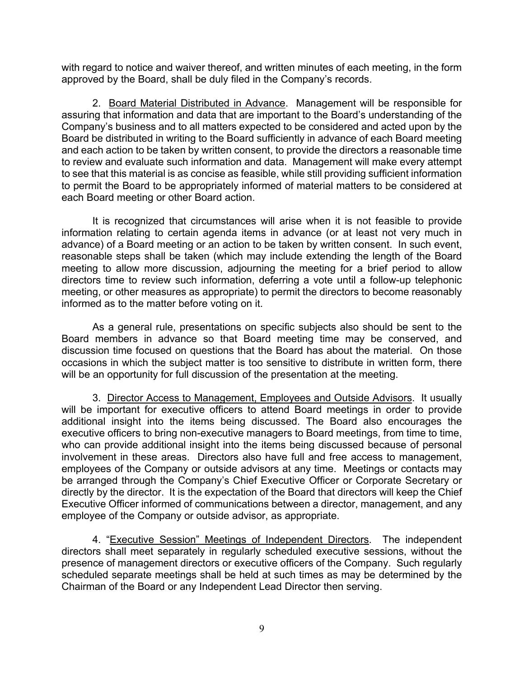with regard to notice and waiver thereof, and written minutes of each meeting, in the form approved by the Board, shall be duly filed in the Company's records.

 2. Board Material Distributed in Advance. Management will be responsible for assuring that information and data that are important to the Board's understanding of the Company's business and to all matters expected to be considered and acted upon by the Board be distributed in writing to the Board sufficiently in advance of each Board meeting and each action to be taken by written consent, to provide the directors a reasonable time to review and evaluate such information and data. Management will make every attempt to see that this material is as concise as feasible, while still providing sufficient information to permit the Board to be appropriately informed of material matters to be considered at each Board meeting or other Board action.

 It is recognized that circumstances will arise when it is not feasible to provide information relating to certain agenda items in advance (or at least not very much in advance) of a Board meeting or an action to be taken by written consent. In such event, reasonable steps shall be taken (which may include extending the length of the Board meeting to allow more discussion, adjourning the meeting for a brief period to allow directors time to review such information, deferring a vote until a follow-up telephonic meeting, or other measures as appropriate) to permit the directors to become reasonably informed as to the matter before voting on it.

 As a general rule, presentations on specific subjects also should be sent to the Board members in advance so that Board meeting time may be conserved, and discussion time focused on questions that the Board has about the material. On those occasions in which the subject matter is too sensitive to distribute in written form, there will be an opportunity for full discussion of the presentation at the meeting.

3. Director Access to Management, Employees and Outside Advisors. It usually will be important for executive officers to attend Board meetings in order to provide additional insight into the items being discussed. The Board also encourages the executive officers to bring non-executive managers to Board meetings, from time to time, who can provide additional insight into the items being discussed because of personal involvement in these areas. Directors also have full and free access to management, employees of the Company or outside advisors at any time. Meetings or contacts may be arranged through the Company's Chief Executive Officer or Corporate Secretary or directly by the director. It is the expectation of the Board that directors will keep the Chief Executive Officer informed of communications between a director, management, and any employee of the Company or outside advisor, as appropriate.

4. "Executive Session" Meetings of Independent Directors. The independent directors shall meet separately in regularly scheduled executive sessions, without the presence of management directors or executive officers of the Company. Such regularly scheduled separate meetings shall be held at such times as may be determined by the Chairman of the Board or any Independent Lead Director then serving.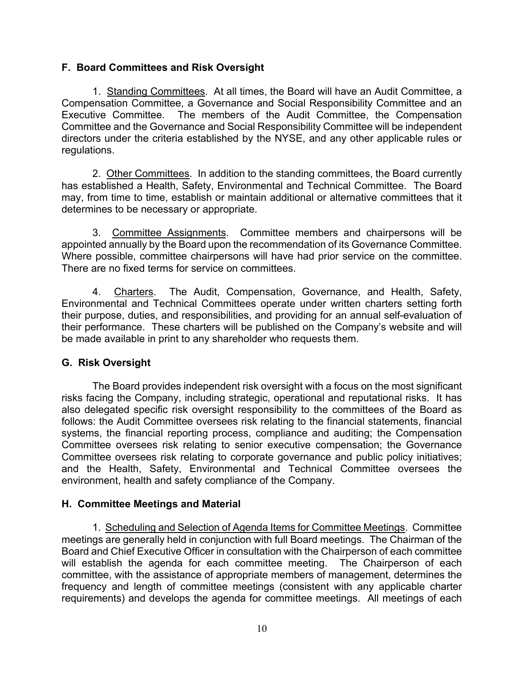### **F. Board Committees and Risk Oversight**

 1. Standing Committees. At all times, the Board will have an Audit Committee, a Compensation Committee, a Governance and Social Responsibility Committee and an Executive Committee. The members of the Audit Committee, the Compensation Committee and the Governance and Social Responsibility Committee will be independent directors under the criteria established by the NYSE, and any other applicable rules or regulations.

2. Other Committees. In addition to the standing committees, the Board currently has established a Health, Safety, Environmental and Technical Committee. The Board may, from time to time, establish or maintain additional or alternative committees that it determines to be necessary or appropriate.

 3. Committee Assignments. Committee members and chairpersons will be appointed annually by the Board upon the recommendation of its Governance Committee. Where possible, committee chairpersons will have had prior service on the committee. There are no fixed terms for service on committees.

 4. Charters. The Audit, Compensation, Governance, and Health, Safety, Environmental and Technical Committees operate under written charters setting forth their purpose, duties, and responsibilities, and providing for an annual self-evaluation of their performance. These charters will be published on the Company's website and will be made available in print to any shareholder who requests them.

## **G. Risk Oversight**

 The Board provides independent risk oversight with a focus on the most significant risks facing the Company, including strategic, operational and reputational risks. It has also delegated specific risk oversight responsibility to the committees of the Board as follows: the Audit Committee oversees risk relating to the financial statements, financial systems, the financial reporting process, compliance and auditing; the Compensation Committee oversees risk relating to senior executive compensation; the Governance Committee oversees risk relating to corporate governance and public policy initiatives; and the Health, Safety, Environmental and Technical Committee oversees the environment, health and safety compliance of the Company.

## **H. Committee Meetings and Material**

1. Scheduling and Selection of Agenda Items for Committee Meetings. Committee meetings are generally held in conjunction with full Board meetings. The Chairman of the Board and Chief Executive Officer in consultation with the Chairperson of each committee will establish the agenda for each committee meeting. The Chairperson of each committee, with the assistance of appropriate members of management, determines the frequency and length of committee meetings (consistent with any applicable charter requirements) and develops the agenda for committee meetings. All meetings of each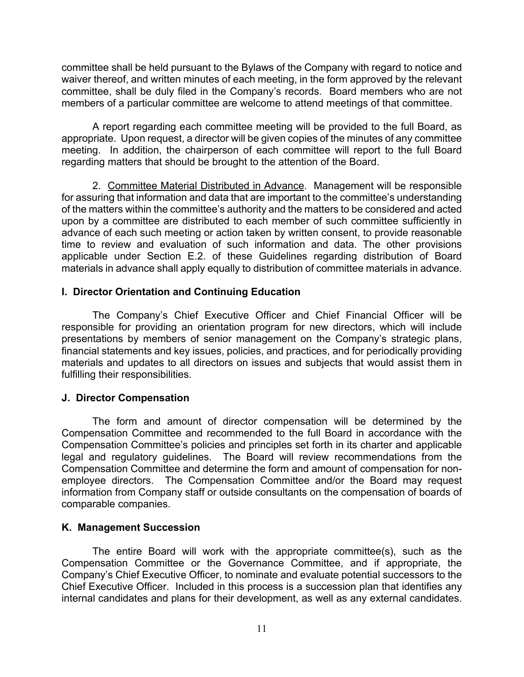committee shall be held pursuant to the Bylaws of the Company with regard to notice and waiver thereof, and written minutes of each meeting, in the form approved by the relevant committee, shall be duly filed in the Company's records. Board members who are not members of a particular committee are welcome to attend meetings of that committee.

 A report regarding each committee meeting will be provided to the full Board, as appropriate. Upon request, a director will be given copies of the minutes of any committee meeting. In addition, the chairperson of each committee will report to the full Board regarding matters that should be brought to the attention of the Board.

 2. Committee Material Distributed in Advance. Management will be responsible for assuring that information and data that are important to the committee's understanding of the matters within the committee's authority and the matters to be considered and acted upon by a committee are distributed to each member of such committee sufficiently in advance of each such meeting or action taken by written consent, to provide reasonable time to review and evaluation of such information and data. The other provisions applicable under Section E.2. of these Guidelines regarding distribution of Board materials in advance shall apply equally to distribution of committee materials in advance.

### **I. Director Orientation and Continuing Education**

 The Company's Chief Executive Officer and Chief Financial Officer will be responsible for providing an orientation program for new directors, which will include presentations by members of senior management on the Company's strategic plans, financial statements and key issues, policies, and practices, and for periodically providing materials and updates to all directors on issues and subjects that would assist them in fulfilling their responsibilities.

### **J. Director Compensation**

 The form and amount of director compensation will be determined by the Compensation Committee and recommended to the full Board in accordance with the Compensation Committee's policies and principles set forth in its charter and applicable legal and regulatory guidelines. The Board will review recommendations from the Compensation Committee and determine the form and amount of compensation for nonemployee directors. The Compensation Committee and/or the Board may request information from Company staff or outside consultants on the compensation of boards of comparable companies.

### **K. Management Succession**

The entire Board will work with the appropriate committee(s), such as the Compensation Committee or the Governance Committee, and if appropriate, the Company's Chief Executive Officer, to nominate and evaluate potential successors to the Chief Executive Officer. Included in this process is a succession plan that identifies any internal candidates and plans for their development, as well as any external candidates.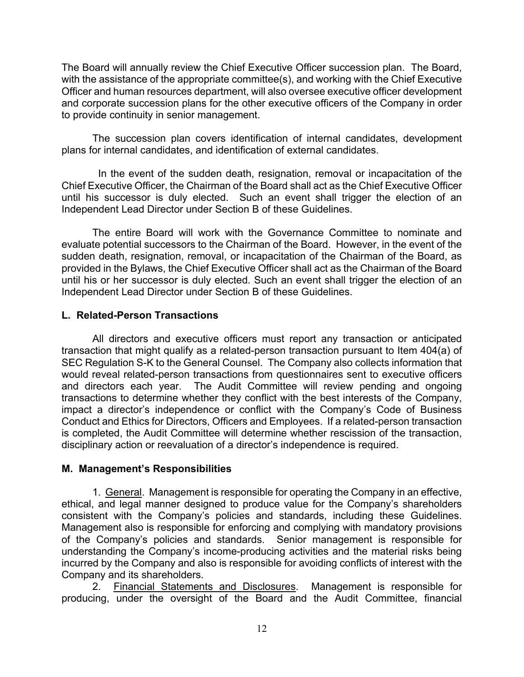The Board will annually review the Chief Executive Officer succession plan. The Board, with the assistance of the appropriate committee(s), and working with the Chief Executive Officer and human resources department, will also oversee executive officer development and corporate succession plans for the other executive officers of the Company in order to provide continuity in senior management.

The succession plan covers identification of internal candidates, development plans for internal candidates, and identification of external candidates.

 In the event of the sudden death, resignation, removal or incapacitation of the Chief Executive Officer, the Chairman of the Board shall act as the Chief Executive Officer until his successor is duly elected. Such an event shall trigger the election of an Independent Lead Director under Section B of these Guidelines.

 The entire Board will work with the Governance Committee to nominate and evaluate potential successors to the Chairman of the Board. However, in the event of the sudden death, resignation, removal, or incapacitation of the Chairman of the Board, as provided in the Bylaws, the Chief Executive Officer shall act as the Chairman of the Board until his or her successor is duly elected. Such an event shall trigger the election of an Independent Lead Director under Section B of these Guidelines.

### **L. Related-Person Transactions**

 All directors and executive officers must report any transaction or anticipated transaction that might qualify as a related-person transaction pursuant to Item 404(a) of SEC Regulation S-K to the General Counsel. The Company also collects information that would reveal related-person transactions from questionnaires sent to executive officers and directors each year. The Audit Committee will review pending and ongoing transactions to determine whether they conflict with the best interests of the Company, impact a director's independence or conflict with the Company's Code of Business Conduct and Ethics for Directors, Officers and Employees. If a related-person transaction is completed, the Audit Committee will determine whether rescission of the transaction, disciplinary action or reevaluation of a director's independence is required.

## **M. Management's Responsibilities**

 1. General. Management is responsible for operating the Company in an effective, ethical, and legal manner designed to produce value for the Company's shareholders consistent with the Company's policies and standards, including these Guidelines. Management also is responsible for enforcing and complying with mandatory provisions of the Company's policies and standards. Senior management is responsible for understanding the Company's income-producing activities and the material risks being incurred by the Company and also is responsible for avoiding conflicts of interest with the Company and its shareholders.

2. Financial Statements and Disclosures. Management is responsible for producing, under the oversight of the Board and the Audit Committee, financial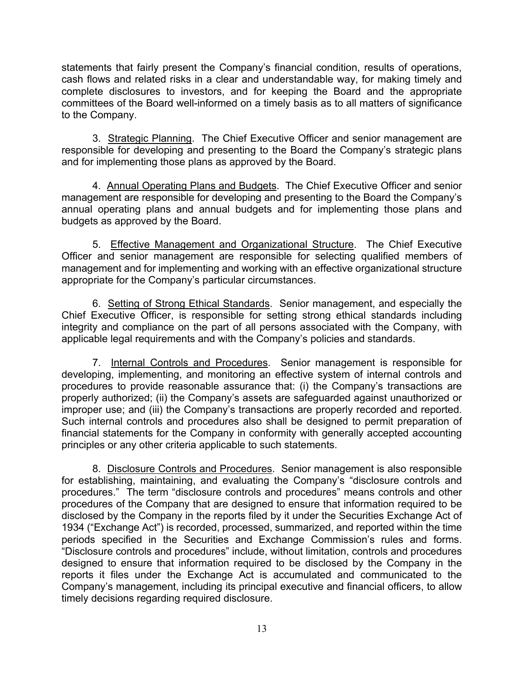statements that fairly present the Company's financial condition, results of operations, cash flows and related risks in a clear and understandable way, for making timely and complete disclosures to investors, and for keeping the Board and the appropriate committees of the Board well-informed on a timely basis as to all matters of significance to the Company.

 3. Strategic Planning. The Chief Executive Officer and senior management are responsible for developing and presenting to the Board the Company's strategic plans and for implementing those plans as approved by the Board.

4. Annual Operating Plans and Budgets. The Chief Executive Officer and senior management are responsible for developing and presenting to the Board the Company's annual operating plans and annual budgets and for implementing those plans and budgets as approved by the Board.

 5. Effective Management and Organizational Structure. The Chief Executive Officer and senior management are responsible for selecting qualified members of management and for implementing and working with an effective organizational structure appropriate for the Company's particular circumstances.

 6. Setting of Strong Ethical Standards. Senior management, and especially the Chief Executive Officer, is responsible for setting strong ethical standards including integrity and compliance on the part of all persons associated with the Company, with applicable legal requirements and with the Company's policies and standards.

 7. Internal Controls and Procedures. Senior management is responsible for developing, implementing, and monitoring an effective system of internal controls and procedures to provide reasonable assurance that: (i) the Company's transactions are properly authorized; (ii) the Company's assets are safeguarded against unauthorized or improper use; and (iii) the Company's transactions are properly recorded and reported. Such internal controls and procedures also shall be designed to permit preparation of financial statements for the Company in conformity with generally accepted accounting principles or any other criteria applicable to such statements.

 8. Disclosure Controls and Procedures. Senior management is also responsible for establishing, maintaining, and evaluating the Company's "disclosure controls and procedures." The term "disclosure controls and procedures" means controls and other procedures of the Company that are designed to ensure that information required to be disclosed by the Company in the reports filed by it under the Securities Exchange Act of 1934 ("Exchange Act") is recorded, processed, summarized, and reported within the time periods specified in the Securities and Exchange Commission's rules and forms. "Disclosure controls and procedures" include, without limitation, controls and procedures designed to ensure that information required to be disclosed by the Company in the reports it files under the Exchange Act is accumulated and communicated to the Company's management, including its principal executive and financial officers, to allow timely decisions regarding required disclosure.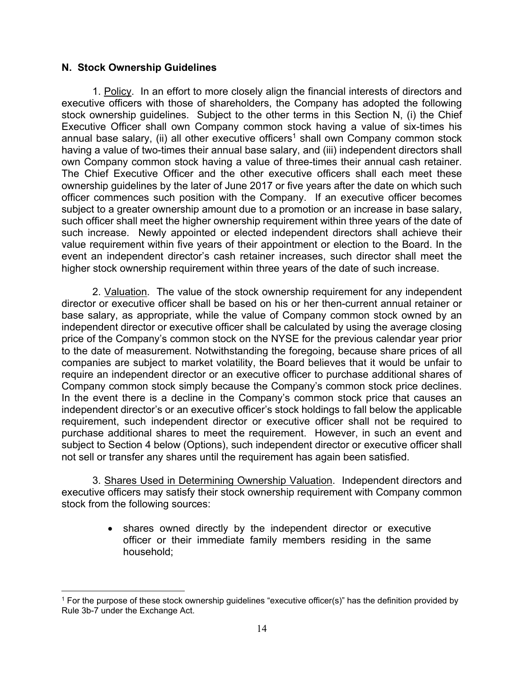#### **N. Stock Ownership Guidelines**

1. Policy. In an effort to more closely align the financial interests of directors and executive officers with those of shareholders, the Company has adopted the following stock ownership guidelines. Subject to the other terms in this Section N, (i) the Chief Executive Officer shall own Company common stock having a value of six-times his annual base salary, (ii) all other executive officers<sup>1</sup> shall own Company common stock having a value of two-times their annual base salary, and (iii) independent directors shall own Company common stock having a value of three-times their annual cash retainer. The Chief Executive Officer and the other executive officers shall each meet these ownership guidelines by the later of June 2017 or five years after the date on which such officer commences such position with the Company. If an executive officer becomes subject to a greater ownership amount due to a promotion or an increase in base salary, such officer shall meet the higher ownership requirement within three years of the date of such increase. Newly appointed or elected independent directors shall achieve their value requirement within five years of their appointment or election to the Board. In the event an independent director's cash retainer increases, such director shall meet the higher stock ownership requirement within three years of the date of such increase.

2. Valuation. The value of the stock ownership requirement for any independent director or executive officer shall be based on his or her then-current annual retainer or base salary, as appropriate, while the value of Company common stock owned by an independent director or executive officer shall be calculated by using the average closing price of the Company's common stock on the NYSE for the previous calendar year prior to the date of measurement. Notwithstanding the foregoing, because share prices of all companies are subject to market volatility, the Board believes that it would be unfair to require an independent director or an executive officer to purchase additional shares of Company common stock simply because the Company's common stock price declines. In the event there is a decline in the Company's common stock price that causes an independent director's or an executive officer's stock holdings to fall below the applicable requirement, such independent director or executive officer shall not be required to purchase additional shares to meet the requirement. However, in such an event and subject to Section 4 below (Options), such independent director or executive officer shall not sell or transfer any shares until the requirement has again been satisfied.

3. Shares Used in Determining Ownership Valuation. Independent directors and executive officers may satisfy their stock ownership requirement with Company common stock from the following sources:

> shares owned directly by the independent director or executive officer or their immediate family members residing in the same household;

<sup>1</sup> For the purpose of these stock ownership guidelines "executive officer(s)" has the definition provided by Rule 3b-7 under the Exchange Act.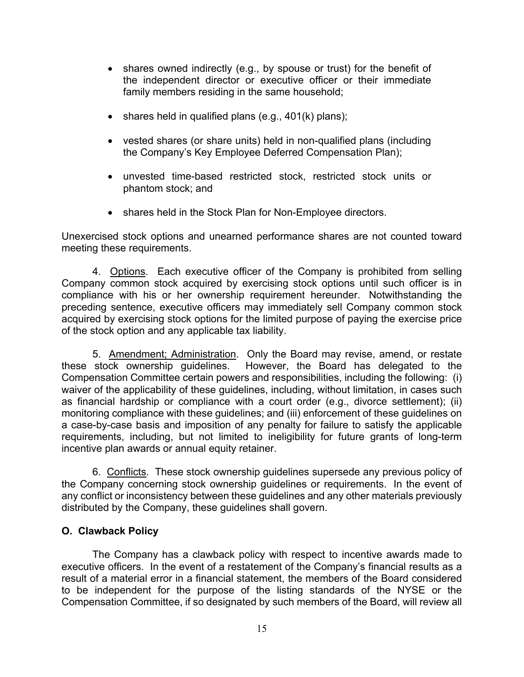- shares owned indirectly (e.g., by spouse or trust) for the benefit of the independent director or executive officer or their immediate family members residing in the same household;
- shares held in qualified plans (e.g.,  $401(k)$  plans);
- vested shares (or share units) held in non-qualified plans (including the Company's Key Employee Deferred Compensation Plan);
- unvested time-based restricted stock, restricted stock units or phantom stock; and
- shares held in the Stock Plan for Non-Employee directors.

Unexercised stock options and unearned performance shares are not counted toward meeting these requirements.

 4. Options. Each executive officer of the Company is prohibited from selling Company common stock acquired by exercising stock options until such officer is in compliance with his or her ownership requirement hereunder. Notwithstanding the preceding sentence, executive officers may immediately sell Company common stock acquired by exercising stock options for the limited purpose of paying the exercise price of the stock option and any applicable tax liability.

 5. Amendment; Administration. Only the Board may revise, amend, or restate these stock ownership guidelines. However, the Board has delegated to the Compensation Committee certain powers and responsibilities, including the following: (i) waiver of the applicability of these guidelines, including, without limitation, in cases such as financial hardship or compliance with a court order (e.g., divorce settlement); (ii) monitoring compliance with these guidelines; and (iii) enforcement of these guidelines on a case-by-case basis and imposition of any penalty for failure to satisfy the applicable requirements, including, but not limited to ineligibility for future grants of long-term incentive plan awards or annual equity retainer.

6. Conflicts. These stock ownership guidelines supersede any previous policy of the Company concerning stock ownership guidelines or requirements. In the event of any conflict or inconsistency between these guidelines and any other materials previously distributed by the Company, these guidelines shall govern.

### **O. Clawback Policy**

The Company has a clawback policy with respect to incentive awards made to executive officers. In the event of a restatement of the Company's financial results as a result of a material error in a financial statement, the members of the Board considered to be independent for the purpose of the listing standards of the NYSE or the Compensation Committee, if so designated by such members of the Board, will review all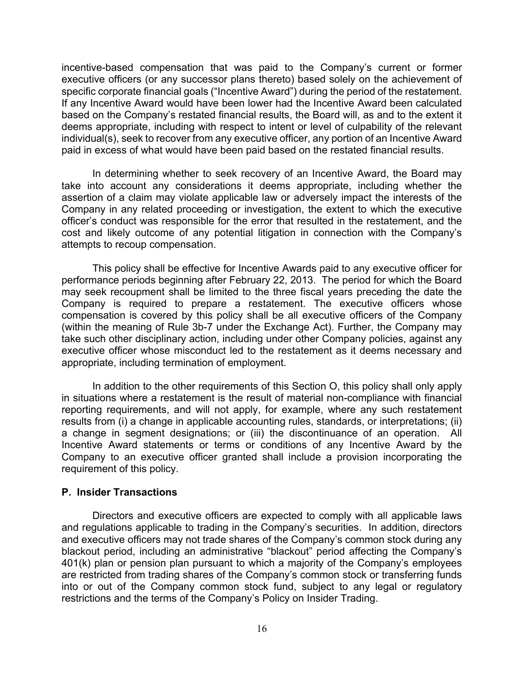incentive-based compensation that was paid to the Company's current or former executive officers (or any successor plans thereto) based solely on the achievement of specific corporate financial goals ("Incentive Award") during the period of the restatement. If any Incentive Award would have been lower had the Incentive Award been calculated based on the Company's restated financial results, the Board will, as and to the extent it deems appropriate, including with respect to intent or level of culpability of the relevant individual(s), seek to recover from any executive officer, any portion of an Incentive Award paid in excess of what would have been paid based on the restated financial results.

In determining whether to seek recovery of an Incentive Award, the Board may take into account any considerations it deems appropriate, including whether the assertion of a claim may violate applicable law or adversely impact the interests of the Company in any related proceeding or investigation, the extent to which the executive officer's conduct was responsible for the error that resulted in the restatement, and the cost and likely outcome of any potential litigation in connection with the Company's attempts to recoup compensation.

This policy shall be effective for Incentive Awards paid to any executive officer for performance periods beginning after February 22, 2013. The period for which the Board may seek recoupment shall be limited to the three fiscal years preceding the date the Company is required to prepare a restatement. The executive officers whose compensation is covered by this policy shall be all executive officers of the Company (within the meaning of Rule 3b-7 under the Exchange Act). Further, the Company may take such other disciplinary action, including under other Company policies, against any executive officer whose misconduct led to the restatement as it deems necessary and appropriate, including termination of employment.

In addition to the other requirements of this Section O, this policy shall only apply in situations where a restatement is the result of material non-compliance with financial reporting requirements, and will not apply, for example, where any such restatement results from (i) a change in applicable accounting rules, standards, or interpretations; (ii) a change in segment designations; or (iii) the discontinuance of an operation. All Incentive Award statements or terms or conditions of any Incentive Award by the Company to an executive officer granted shall include a provision incorporating the requirement of this policy.

#### **P. Insider Transactions**

 Directors and executive officers are expected to comply with all applicable laws and regulations applicable to trading in the Company's securities. In addition, directors and executive officers may not trade shares of the Company's common stock during any blackout period, including an administrative "blackout" period affecting the Company's 401(k) plan or pension plan pursuant to which a majority of the Company's employees are restricted from trading shares of the Company's common stock or transferring funds into or out of the Company common stock fund, subject to any legal or regulatory restrictions and the terms of the Company's Policy on Insider Trading.